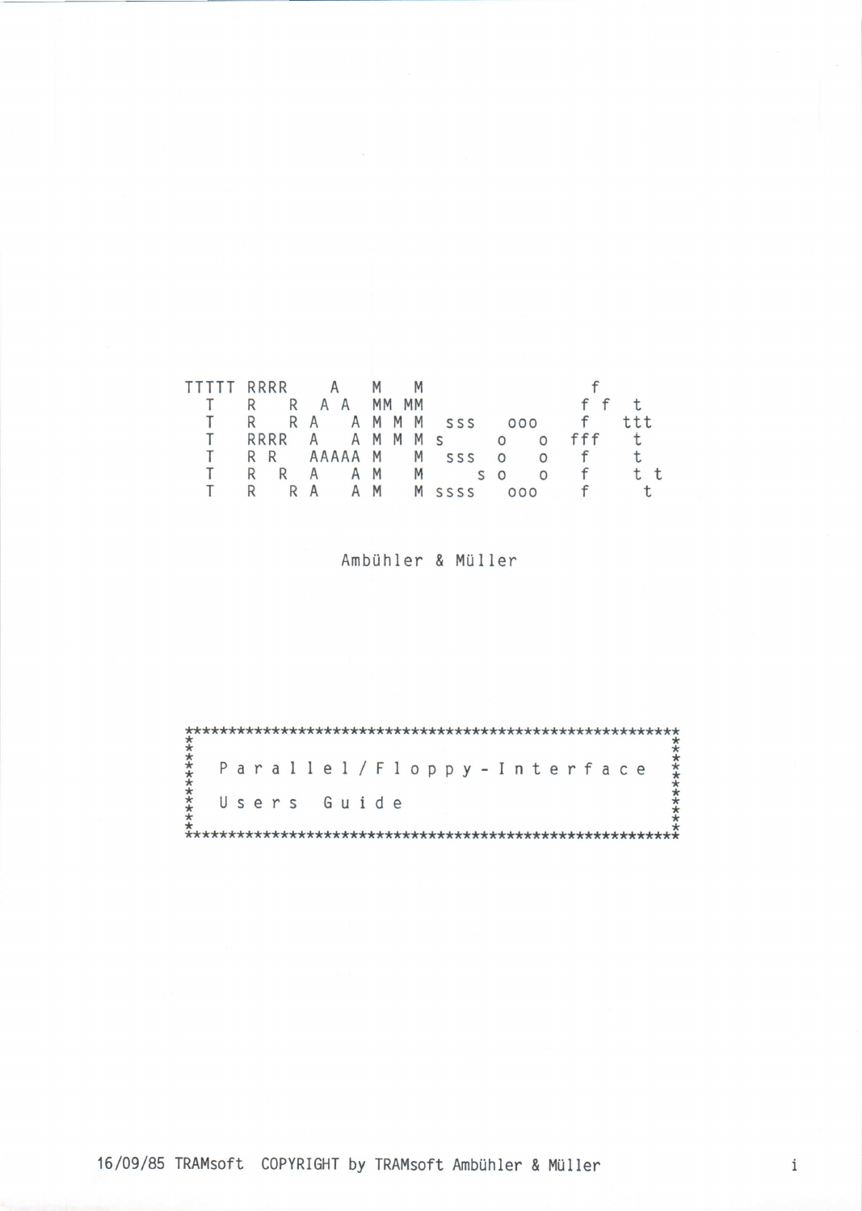| TTTTT RRRR A    |                   |  |  |  |  |  |  |                        |  |              |   |  |  |
|-----------------|-------------------|--|--|--|--|--|--|------------------------|--|--------------|---|--|--|
| T R R A A MM MM |                   |  |  |  |  |  |  |                        |  |              |   |  |  |
|                 | R RA AMMM SSS 000 |  |  |  |  |  |  |                        |  | f            |   |  |  |
| T.              |                   |  |  |  |  |  |  | RRRR A A M M M s o o   |  | fff          | t |  |  |
|                 |                   |  |  |  |  |  |  | RR AAAAA M M sss oof t |  |              |   |  |  |
|                 |                   |  |  |  |  |  |  | RRA AMM SO             |  | 0 f          |   |  |  |
|                 |                   |  |  |  |  |  |  | R R A A M M SSSS 000   |  | $\mathsf{f}$ |   |  |  |

Ambühler & Müller

|  |  |  |  |             |  |  |  | Parallel/Floppy-Interface |  |  |  |  |  |  |
|--|--|--|--|-------------|--|--|--|---------------------------|--|--|--|--|--|--|
|  |  |  |  | Users Guide |  |  |  |                           |  |  |  |  |  |  |
|  |  |  |  |             |  |  |  |                           |  |  |  |  |  |  |

16/09/85 TRAMsoft COPYRIGHT by TRAMsoft Ambühler & Müller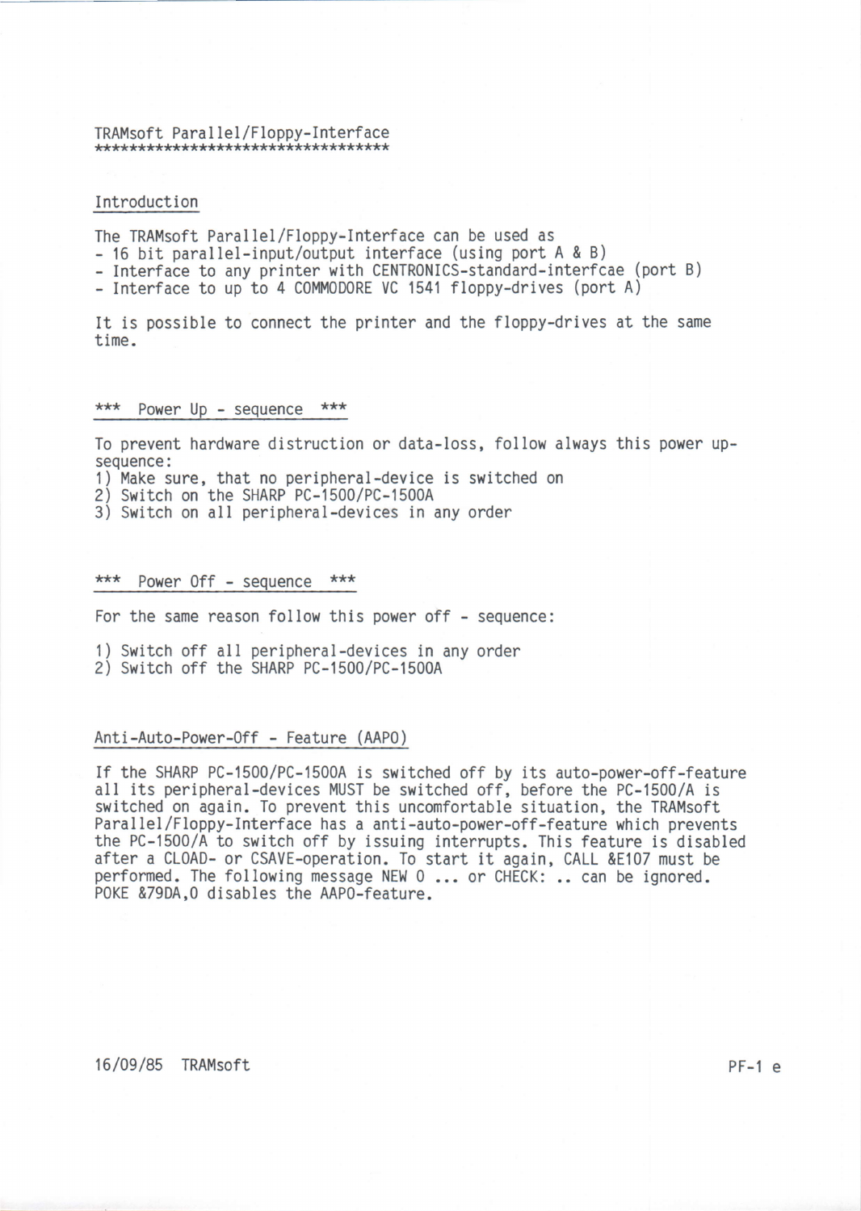# TRAMsoft Para I lel /Floppy-Interface \*\*\*\*\*\*\*\*\*\*\*\*\*\*\*\*\*\*\*\*\*\*\*\*\*\*\*\*\*\*\*\*\*

#### Introduction

The TRAMsoft Parallel/Floppy-Interface can be used as

- 16 bit parallel-input/output interface (using port A & B)

- Interface to any printer with CENTRONlCS-standard-interfcae (port B)

- Interface to up to 4 COMMODORE VC 1541 floppy-drives (port A)

It is possible to connect the printer and the floppy-drives at the same time.

#### \*\*\* Power Up - sequence \*\*\*

To prevent hardware distruction or data-loss, follow always this power upsequence:

<sup>1</sup>) Make sure, that no peripheral-device is switched on

2) Switch on the SHARP PC-1500/PC-1500A

3) Switch on all peripheral-devices in any order

#### \*\*\* Power Off - sequence \*\*\*

For the same reason follow this power off - sequence:

1) Switch off all peripheral-devices in any order

2) Switch off the SHARP PC-1500/PC-1500A

# Anti-Auto-Power-0ff - Feature (AAP0)

If the SHARP PC-1500/PC-1500A is switched off by its auto-power-off-feature all its peripheral-devices MUST be switched off, before the PC-1500/A is switched on again. To prevent this uncomfortable situation, the TRAMsoft Parallel/Floppy-Interface has a anti-auto-power-off-feature which prevents the PC-1500/A to switch off by issuing interrupts. This feature is disabled after a CLOAD- or CSAVE-operation. To start it again, CALL &E107 must be performed. The following message NEW 0 ... or CHECK: .. can be ignored. POKE &79DA, O disables the AAPO-feature.

# 16/09/85 TRAMsoft PF-l <sup>e</sup>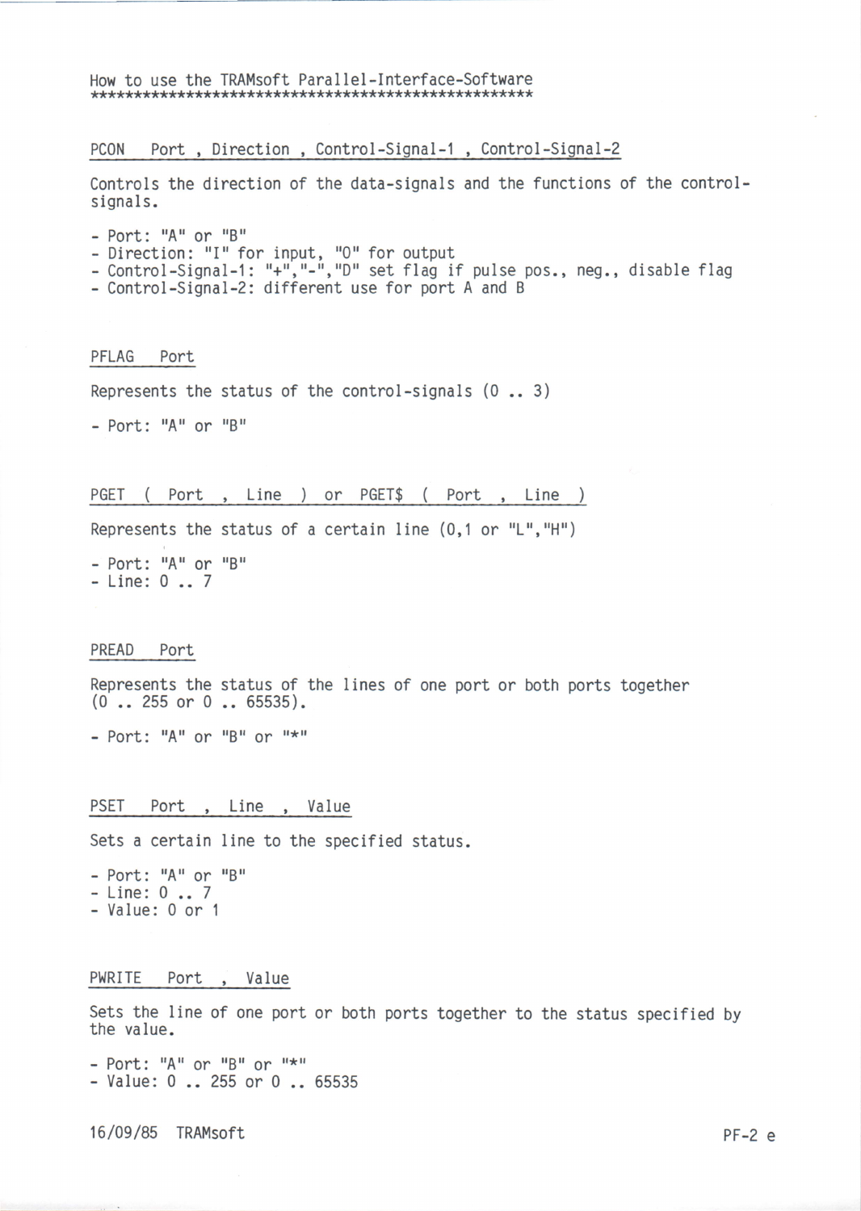# How to use the TRAMsoft Parallel-Interface-Software

# PC0N Port , Direction , Control-Signal-1 , Control-Signal-2

Controls the direction of the data-signals and the functions of the controlsignals.

- $-$  Port: "A" or "B"
- Direction: "I" for input, "O" for output
- Bricecion: rrivinipus, ror bacpas<br>- Control-Signal-1: "+","-","D" set flag if pulse pos., neg., disable flag
- Control-Signal-2: different use for port A and <sup>B</sup>

# PFLAG Port

Represents the status of the control-signals (0 .. 3)

 $-$  Port: "A" or "B"

#### PGET ( Port , Line ) or PGET\$ ( Port , Line )

Represents the status of a certain line  $(0,1$  or "L", "H")

 $-$  Port: "A" or "B"  $-$  Line:  $0...7$ 

#### PREAD Port

Represents the status of the lines of one port or both ports together (O .. 255 or 0 .. 65535).

 $-$  Port: "A" or "B" or "\*"

PSET Port, Line, Value

Sets a certain line to the specified status.

 $-$  Port: "A" or "B" - Line: 0 .. <sup>7</sup> - Value: 0 or <sup>1</sup>

# PWRITE Port , Value

Sets the line of one port or both ports together to the status specified by the value.

 $-$  Port: "A" or "B" or "\*" - Value: 0 .. 255 or 0 .. <sup>65535</sup>

16/09/85 TRAMsoft PF-2 <sup>e</sup>